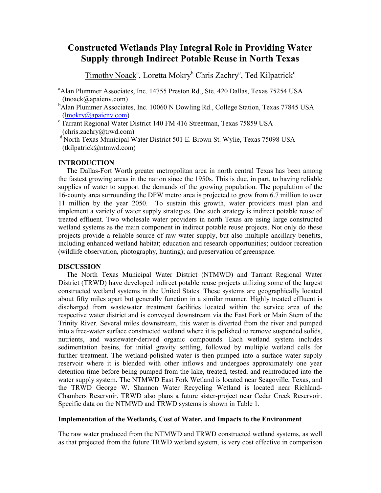# **Constructed Wetlands Play Integral Role in Providing Water Supply through Indirect Potable Reuse in North Texas**

Timothy Noack<sup>a</sup>, Loretta Mokry<sup>b</sup> Chris Zachry<sup>c</sup>, Ted Kilpatrick<sup>d</sup>

<sup>a</sup>Alan Plummer Associates, Inc. 14755 Preston Rd., Ste. 420 Dallas, Texas 75254 USA (tnoack@apaienv.com)

- bAlan Plummer Associates, Inc. 10060 N Dowling Rd., College Station, Texas 77845 USA (lmokry@apaienv.com)
- $\textdegree$  Tarrant Regional Water District 140 FM 416 Streetman, Texas 75859 USA (chris.zachry@trwd.com)
- <sup>d</sup> North Texas Municipal Water District 501 E. Brown St. Wylie, Texas 75098 USA (tkilpatrick@ntmwd.com)

# **INTRODUCTION**

The Dallas-Fort Worth greater metropolitan area in north central Texas has been among the fastest growing areas in the nation since the 1950s. This is due, in part, to having reliable supplies of water to support the demands of the growing population. The population of the 16-county area surrounding the DFW metro area is projected to grow from 6.7 million to over 11 million by the year 2050. To sustain this growth, water providers must plan and implement a variety of water supply strategies. One such strategy is indirect potable reuse of treated effluent. Two wholesale water providers in north Texas are using large constructed wetland systems as the main component in indirect potable reuse projects. Not only do these projects provide a reliable source of raw water supply, but also multiple ancillary benefits, including enhanced wetland habitat; education and research opportunities; outdoor recreation (wildlife observation, photography, hunting); and preservation of greenspace.

# **DISCUSSION**

The North Texas Municipal Water District (NTMWD) and Tarrant Regional Water District (TRWD) have developed indirect potable reuse projects utilizing some of the largest constructed wetland systems in the United States. These systems are geographically located about fifty miles apart but generally function in a similar manner. Highly treated effluent is discharged from wastewater treatment facilities located within the service area of the respective water district and is conveyed downstream via the East Fork or Main Stem of the Trinity River. Several miles downstream, this water is diverted from the river and pumped into a free-water surface constructed wetland where it is polished to remove suspended solids, nutrients, and wastewater-derived organic compounds. Each wetland system includes sedimentation basins, for initial gravity settling, followed by multiple wetland cells for further treatment. The wetland-polished water is then pumped into a surface water supply reservoir where it is blended with other inflows and undergoes approximately one year detention time before being pumped from the lake, treated, tested, and reintroduced into the water supply system. The NTMWD East Fork Wetland is located near Seagoville, Texas, and the TRWD George W. Shannon Water Recycling Wetland is located near Richland-Chambers Reservoir. TRWD also plans a future sister-project near Cedar Creek Reservoir. Specific data on the NTMWD and TRWD systems is shown in Table 1.

# **Implementation of the Wetlands, Cost of Water, and Impacts to the Environment**

The raw water produced from the NTMWD and TRWD constructed wetland systems, as well as that projected from the future TRWD wetland system, is very cost effective in comparison